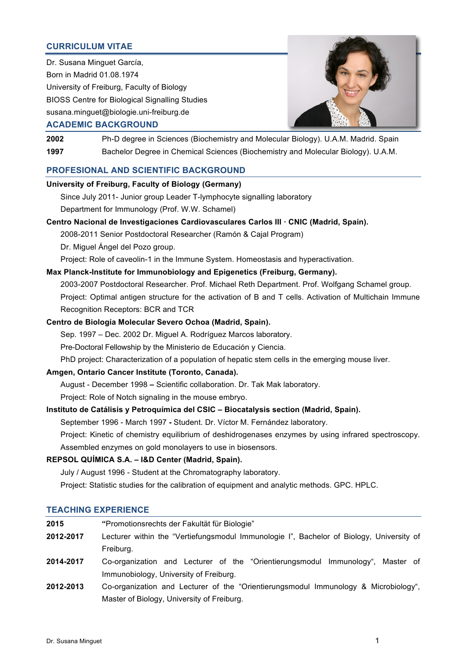# **CURRICULUM VITAE**

Dr. Susana Minguet García, Born in Madrid 01.08.1974 University of Freiburg, Faculty of Biology BIOSS Centre for Biological Signalling Studies susana.minguet@biologie.uni-freiburg.de



#### **ACADEMIC BACKGROUND**

**2002** Ph-D degree in Sciences (Biochemistry and Molecular Biology). U.A.M. Madrid. Spain **1997** Bachelor Degree in Chemical Sciences (Biochemistry and Molecular Biology). U.A.M.

## **PROFESIONAL AND SCIENTIFIC BACKGROUND**

# **University of Freiburg, Faculty of Biology (Germany)**

- Since July 2011- Junior group Leader T-lymphocyte signalling laboratory Department for Immunology (Prof. W.W. Schamel)
- **Centro Nacional de Investigaciones Cardiovasculares Carlos III · CNIC (Madrid, Spain).**

2008-2011 Senior Postdoctoral Researcher (Ramón & Cajal Program)

Dr. Miguel Ángel del Pozo group.

Project: Role of caveolin-1 in the Immune System. Homeostasis and hyperactivation.

## **Max Planck-Institute for Immunobiology and Epigenetics (Freiburg, Germany).**

2003-2007 Postdoctoral Researcher. Prof. Michael Reth Department. Prof. Wolfgang Schamel group. Project: Optimal antigen structure for the activation of B and T cells. Activation of Multichain Immune Recognition Receptors: BCR and TCR

## **Centro de Biología Molecular Severo Ochoa (Madrid, Spain).**

Sep. 1997 – Dec. 2002 Dr. Miguel A. Rodríguez Marcos laboratory.

Pre-Doctoral Fellowship by the Ministerio de Educación y Ciencia.

PhD project: Characterization of a population of hepatic stem cells in the emerging mouse liver.

## **Amgen, Ontario Cancer Institute (Toronto, Canada).**

August - December 1998 **–** Scientific collaboration. Dr. Tak Mak laboratory.

Project: Role of Notch signaling in the mouse embryo.

## **Instituto de Catálisis y Petroquímica del CSIC – Biocatalysis section (Madrid, Spain).**

September 1996 - March 1997 **-** Student. Dr. Víctor M. Fernández laboratory.

Project: Kinetic of chemistry equilibrium of deshidrogenases enzymes by using infrared spectroscopy.

Assembled enzymes on gold monolayers to use in biosensors.

# **REPSOL QUÍMICA S.A. – I&D Center (Madrid, Spain).**

July / August 1996 - Student at the Chromatography laboratory.

Project: Statistic studies for the calibration of equipment and analytic methods. GPC. HPLC.

#### **TEACHING EXPERIENCE**

| 2015      | "Promotionsrechts der Fakultät für Biologie"                                             |
|-----------|------------------------------------------------------------------------------------------|
| 2012-2017 | Lecturer within the "Vertiefungsmodul Immunologie I", Bachelor of Biology, University of |
|           | Freiburg.                                                                                |
| 2014-2017 | Co-organization and Lecturer of the "Orientierungsmodul Immunology", Master of           |
|           | Immunobiology, University of Freiburg.                                                   |
| 2012-2013 | Co-organization and Lecturer of the "Orientierungsmodul Immunology & Microbiology",      |
|           | Master of Biology, University of Freiburg.                                               |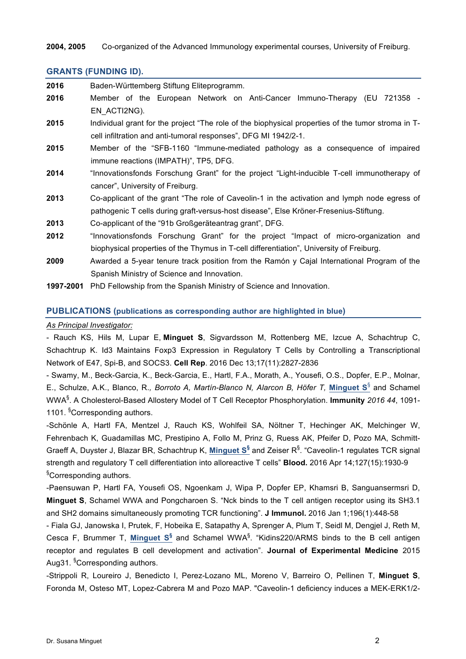**2004, 2005** Co-organized of the Advanced Immunology experimental courses, University of Freiburg.

## **GRANTS (FUNDING ID).**

| 2016 | Baden-Württemberg Stiftung Eliteprogramm.                                                          |
|------|----------------------------------------------------------------------------------------------------|
| 2016 | Member of the European Network on Anti-Cancer Immuno-Therapy (EU 721358 -                          |
|      | EN ACTI2NG).                                                                                       |
| 2015 | Individual grant for the project "The role of the biophysical properties of the tumor stroma in T- |
|      | cell infiltration and anti-tumoral responses", DFG MI 1942/2-1.                                    |
| 2015 | Member of the "SFB-1160 "Immune-mediated pathology as a consequence of impaired                    |
|      | immune reactions (IMPATH)", TP5, DFG.                                                              |
| 2014 | "Innovationsfonds Forschung Grant" for the project "Light-inducible T-cell immunotherapy of        |
|      | cancer", University of Freiburg.                                                                   |
| 2013 | Co-applicant of the grant "The role of Caveolin-1 in the activation and lymph node egress of       |
|      | pathogenic T cells during graft-versus-host disease", Else Kröner-Fresenius-Stiftung.              |
| 2013 | Co-applicant of the "91b Großgeräteantrag grant", DFG.                                             |
| 2012 | "Innovationsfonds Forschung Grant" for the project "Impact of micro-organization and               |
|      | biophysical properties of the Thymus in T-cell differentiation", University of Freiburg.           |
| 2009 | Awarded a 5-year tenure track position from the Ramón y Cajal International Program of the         |
|      | Spanish Ministry of Science and Innovation.                                                        |

**1997-2001** PhD Fellowship from the Spanish Ministry of Science and Innovation.

### **PUBLICATIONS (publications as corresponding author are highlighted in blue)**

## *As Principal Investigator:*

- Rauch KS, Hils M, Lupar E, **Minguet S**, Sigvardsson M, Rottenberg ME, Izcue A, Schachtrup C, Schachtrup K. Id3 Maintains Foxp3 Expression in Regulatory T Cells by Controlling a Transcriptional Network of E47, Spi-B, and SOCS3. **Cell Rep**. 2016 Dec 13;17(11):2827-2836

- Swamy, M., Beck-Garcia, K., Beck-Garcia, E., Hartl, F.A., Morath, A., Yousefi, O.S., Dopfer, E.P., Molnar, E., Schulze, A.K., Blanco, R.*, Borroto A, Martín-Blanco N, Alarcon B, Höfer T,* **Minguet S**§ and Schamel WWA§ . A Cholesterol-Based Allostery Model of T Cell Receptor Phosphorylation. **Immunity** *2016 44*, 1091- 1101. <sup>§</sup>Corresponding authors.

-Schönle A, Hartl FA, Mentzel J, Rauch KS, Wohlfeil SA, Nöltner T, Hechinger AK, Melchinger W, Fehrenbach K, Guadamillas MC, Prestipino A, Follo M, Prinz G, Ruess AK, Pfeifer D, Pozo MA, Schmitt-Graeff A, Duyster J, Blazar BR, Schachtrup K, **Minguet S§** and Zeiser R§ . "Caveolin-1 regulates TCR signal strength and regulatory T cell differentiation into alloreactive T cells" **Blood.** 2016 Apr 14;127(15):1930-9 § Corresponding authors.

-Paensuwan P, Hartl FA, Yousefi OS, Ngoenkam J, Wipa P, Dopfer EP, Khamsri B, Sanguansermsri D, **Minguet S**, Schamel WWA and Pongcharoen S. "Nck binds to the T cell antigen receptor using its SH3.1 and SH2 domains simultaneously promoting TCR functioning". **J Immunol.** 2016 Jan 1;196(1):448-58

- Fiala GJ, Janowska I, Prutek, F, Hobeika E, Satapathy A, Sprenger A, Plum T, Seidl M, Dengjel J, Reth M, Cesca F, Brummer T, **Minguet S§** and Schamel WWA§ . "Kidins220/ARMS binds to the B cell antigen receptor and regulates B cell development and activation". **Journal of Experimental Medicine** 2015 Aug31. <sup>§</sup>Corresponding authors.

-Strippoli R, Loureiro J, Benedicto I, Perez-Lozano ML, Moreno V, Barreiro O, Pellinen T, **Minguet S**, Foronda M, Osteso MT, Lopez-Cabrera M and Pozo MAP. "Caveolin-1 deficiency induces a MEK-ERK1/2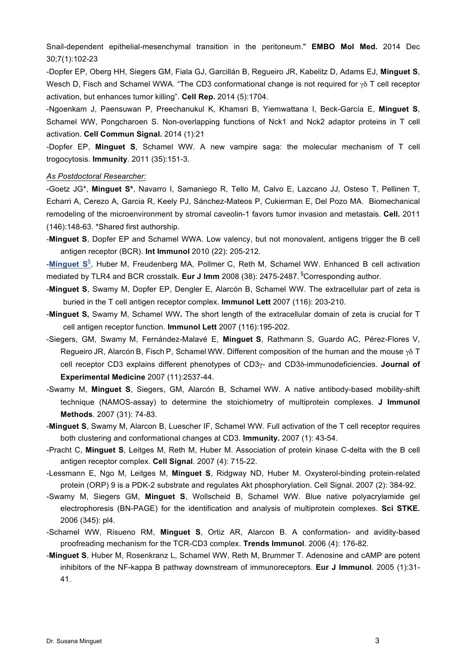Snail-dependent epithelial-mesenchymal transition in the peritoneum." **EMBO Mol Med.** 2014 Dec 30;7(1):102-23

-Dopfer EP, Oberg HH, Siegers GM, Fiala GJ, Garcillán B, Regueiro JR, Kabelitz D, Adams EJ, **Minguet S**, Wesch D, Fisch and Schamel WWA. "The CD3 conformational change is not required for  $\gamma\delta$  T cell receptor activation, but enhances tumor killing". **Cell Rep.** 2014 (5):1704.

-Ngoenkam J, Paensuwan P, Preechanukul K, Khamsri B, Yiemwattana I, Beck-García E, **Minguet S**, Schamel WW, Pongcharoen S. Non-overlapping functions of Nck1 and Nck2 adaptor proteins in T cell activation. **Cell Commun Signal.** 2014 (1):21

-Dopfer EP, **Minguet S**, Schamel WW. A new vampire saga: the molecular mechanism of T cell trogocytosis. **Immunity**. 2011 (35):151-3.

#### *As Postdoctoral Researcher:*

-Goetz JG\*, **Minguet S\***, Navarro I, Samaniego R, Tello M, Calvo E, Lazcano JJ, Osteso T, Pellinen T, Echarri A, Cerezo A, Garcia R, Keely PJ, Sánchez-Mateos P, Cukierman E, Del Pozo MA. Biomechanical remodeling of the microenvironment by stromal caveolin-1 favors tumor invasion and metastais. **Cell.** 2011 (146):148-63. \*Shared first authorship.

-**Minguet S**, Dopfer EP and Schamel WWA. Low valency, but not monovalent, antigens trigger the B cell antigen receptor (BCR). **Int Immunol** 2010 (22): 205-212.

-**Minguet S**§ , Huber M, Freudenberg MA, Pollmer C, Reth M, Schamel WW. Enhanced B cell activation mediated by TLR4 and BCR crosstalk. **Eur J Imm** 2008 (38): 2475-2487. § Corresponding author.

- -**Minguet S**, Swamy M, Dopfer EP, Dengler E, Alarcón B, Schamel WW. The extracellular part of zeta is buried in the T cell antigen receptor complex. **Immunol Lett** 2007 (116): 203-210.
- -**Minguet S,** Swamy M, Schamel WW**.** The short length of the extracellular domain of zeta is crucial for T cell antigen receptor function. **Immunol Lett** 2007 (116):195-202.
- -Siegers, GM, Swamy M, Fernández-Malavé E, **Minguet S**, Rathmann S, Guardo AC, Pérez-Flores V, Regueiro JR, Alarcón B, Fisch P, Schamel WW. Different composition of the human and the mouse  $\gamma \delta$  T cell receptor CD3 explains different phenotypes of CD3γ- and CD3δ-immunodeficiencies. **Journal of Experimental Medicine** 2007 (11):2537-44.
- -Swamy M, **Minguet S**, Siegers, GM, Alarcón B, Schamel WW. A native antibody-based mobility-shift technique (NAMOS-assay) to determine the stoichiometry of multiprotein complexes. **J Immunol Methods**. 2007 (31): 74-83.
- -**Minguet S**, Swamy M, Alarcon B, Luescher IF, Schamel WW. Full activation of the T cell receptor requires both clustering and conformational changes at CD3. **Immunity.** 2007 (1): 43-54.
- -Pracht C, **Minguet S**, Leitges M, Reth M, Huber M. Association of protein kinase C-delta with the B cell antigen receptor complex. **Cell Signal**. 2007 (4): 715-22.
- -Lessmann E, Ngo M, Leitges M, **Minguet S**, Ridgway ND, Huber M. Oxysterol-binding protein-related protein (ORP) 9 is a PDK-2 substrate and regulates Akt phosphorylation. Cell Signal. 2007 (2): 384-92.
- -Swamy M, Siegers GM, **Minguet S**, Wollscheid B, Schamel WW. Blue native polyacrylamide gel electrophoresis (BN-PAGE) for the identification and analysis of multiprotein complexes. **Sci STKE.** 2006 (345): pl4.
- -Schamel WW, Risueno RM, **Minguet S**, Ortiz AR, Alarcon B. A conformation- and avidity-based proofreading mechanism for the TCR-CD3 complex. **Trends Immunol**. 2006 (4): 176-82.
- -**Minguet S**, Huber M, Rosenkranz L, Schamel WW, Reth M, Brummer T. Adenosine and cAMP are potent inhibitors of the NF-kappa B pathway downstream of immunoreceptors. **Eur J Immunol**. 2005 (1):31- 41.